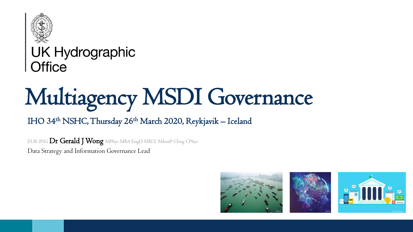

## **UK Hydrographic**  $Qf$ fice

# Multiagency MSDI Governance

#### IHO 34<sup>th</sup> NSHC, Thursday 26<sup>th</sup> March 2020, Reykjavik - Iceland

EUR ING Dr Gerald J Wong MPhys MBA EngD MIET MInstP CEng CPhys Data Strategy and Information Governance Lead

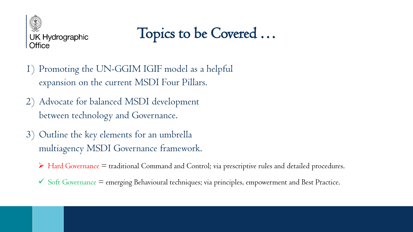

Topics to be Covered …

- 1) Promoting the UN-GGIM IGIF model as a helpful expansion on the current MSDI Four Pillars.
- 2) Advocate for balanced MSDI development between technology and Governance.
- 3) Outline the key elements for an umbrella multiagency MSDI Governance framework.
	- $\triangleright$  Hard Governance  $=$  traditional Command and Control; via prescriptive rules and detailed procedures.
	- $\checkmark$  Soft Governance = emerging Behavioural techniques; via principles, empowerment and Best Practice.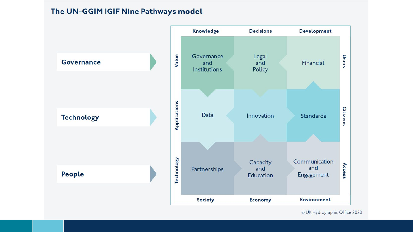#### The UN-GGIM IGIF Nine Pathways model



© UK Hydrographic Office 2020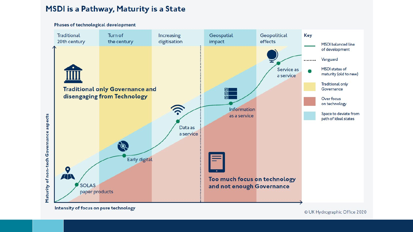#### MSDI is a Pathway, Maturity is a State

Phases of technological development **Traditional** Turn of Increasing Geospatial Geopolitical **Key** effects 20th century the century digitisation impact **MSDI** balanced line of development Vanguard ........ MSDI states of Service as maturity (old to new) a service **Traditional only Traditional only Governance and** Governance 덹 disengaging from Technology ⊡ Over focus on technology <u>لزد</u> Information Space to deviate from Maturity of non-tech Governance aspects as a service path of ideal states Data as a service **POL** Early digital Q AN Too much focus on technology **SOLAS** and not enough Governance paper products

Intensity of focus on pure technology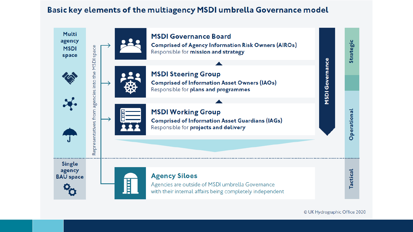#### Basic key elements of the multiagency MSDI umbrella Governance model



© UK Hydrographic Office 2020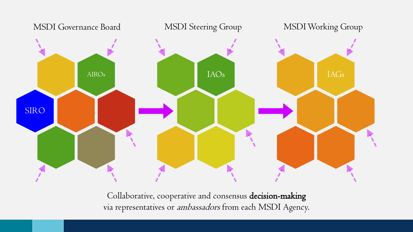

Collaborative, cooperative and consensus decision-making via representatives or ambassadors from each MSDI Agency.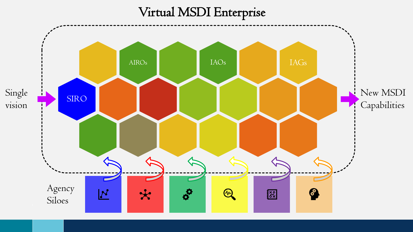### Virtual MSDI Enterprise